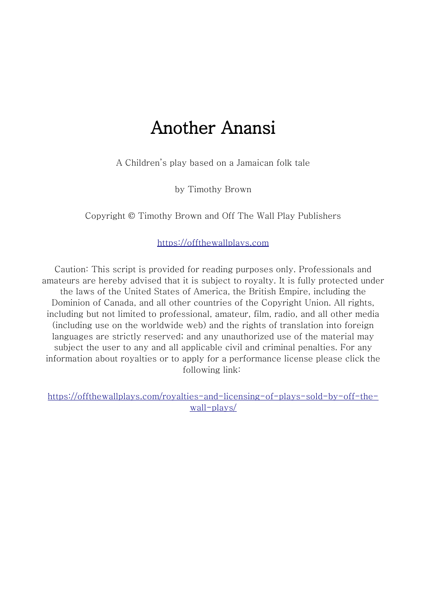# Another Anansi

A Children's play based on a Jamaican folk tale

by Timothy Brown

Copyright © Timothy Brown and Off The Wall Play Publishers

[https://offthewallplays.com](https://offthewallplays.com/)

Caution: This script is provided for reading purposes only. Professionals and amateurs are hereby advised that it is subject to royalty. It is fully protected under the laws of the United States of America, the British Empire, including the Dominion of Canada, and all other countries of the Copyright Union. All rights, including but not limited to professional, amateur, film, radio, and all other media (including use on the worldwide web) and the rights of translation into foreign languages are strictly reserved; and any unauthorized use of the material may subject the user to any and all applicable civil and criminal penalties. For any information about royalties or to apply for a performance license please click the following link:

[https://offthewallplays.com/royalties-and-licensing-of-plays-sold-by-off-the](https://offthewallplays.com/royalties-and-licensing-of-plays-sold-by-off-the-wall-plays/)[wall-plays/](https://offthewallplays.com/royalties-and-licensing-of-plays-sold-by-off-the-wall-plays/)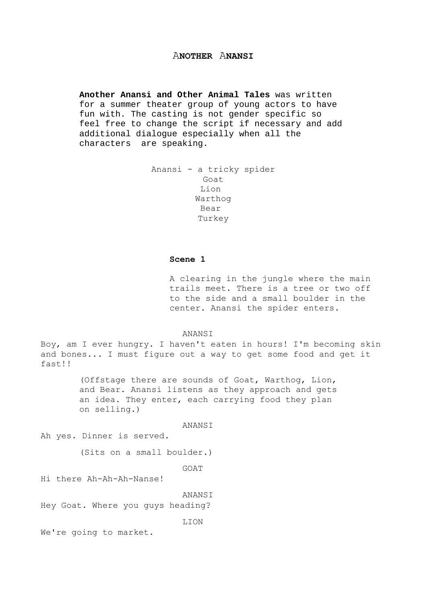# A**NOTHER** A**NANSI**

**Another Anansi and Other Animal Tales** was written for a summer theater group of young actors to have fun with. The casting is not gender specific so feel free to change the script if necessary and add additional dialogue especially when all the characters are speaking.

```
Anansi - a tricky spider
 Goat
 Lion 
Warthog
 Bear 
Turkey
```
#### **Scene 1**

A clearing in the jungle where the main trails meet. There is a tree or two off to the side and a small boulder in the center. Anansi the spider enters.

ANANSI

Boy, am I ever hungry. I haven't eaten in hours! I'm becoming skin and bones... I must figure out a way to get some food and get it fast!!

> (Offstage there are sounds of Goat, Warthog, Lion, and Bear. Anansi listens as they approach and gets an idea. They enter, each carrying food they plan on selling.)

> > ANANSI

Ah yes. Dinner is served.

(Sits on a small boulder.)

GOAT

Hi there Ah-Ah-Ah-Nanse!

ANANSI

Hey Goat. Where you guys heading?

LION

We're going to market.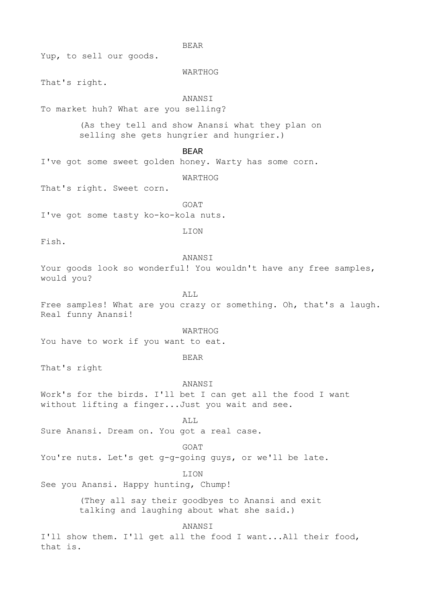BEAR

Yup, to sell our goods.

#### WARTHOG

That's right.

# **ANANST**

To market huh? What are you selling?

(As they tell and show Anansi what they plan on selling she gets hungrier and hungrier.)

BEAR

I've got some sweet golden honey. Warty has some corn.

WARTHOG

That's right. Sweet corn.

GOAT

I've got some tasty ko-ko-kola nuts.

LION

Fish.

#### **ANANST**

Your goods look so wonderful! You wouldn't have any free samples, would you?

# ALL

Free samples! What are you crazy or something. Oh, that's a laugh. Real funny Anansi!

WARTHOG

You have to work if you want to eat.

BEAR

That's right

#### ANANSI

Work's for the birds. I'll bet I can get all the food I want without lifting a finger...Just you wait and see.

ALL.

Sure Anansi. Dream on. You got a real case.

#### GOAT

You're nuts. Let's get g-g-going guys, or we'll be late.

#### LION

See you Anansi. Happy hunting, Chump!

(They all say their goodbyes to Anansi and exit talking and laughing about what she said.)

#### ANANSI

I'll show them. I'll get all the food I want...All their food, that is.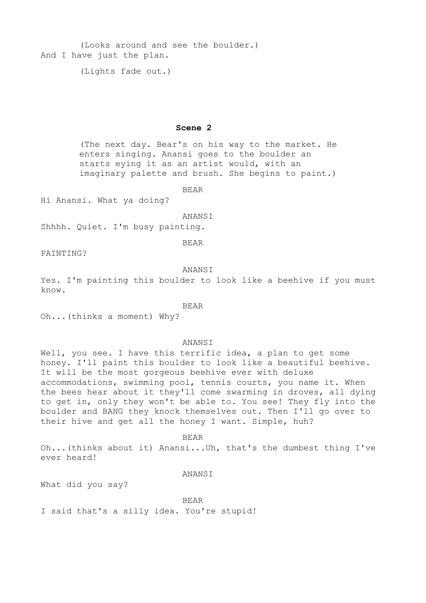(Looks around and see the boulder.) And I have just the plan.

(Lights fade out.)

#### **Scene 2**

(The next day. Bear's on his way to the market. He enters singing. Anansi goes to the boulder an starts eying it as an artist would, with an imaginary palette and brush. She begins to paint.)

BEAR

Hi Anansi. What ya doing?

#### ANANSI

Shhhh. Quiet. I'm busy painting.

BEAR

PAINTING?

#### ANANSI

Yes. I'm painting this boulder to look like a beehive if you must know.

#### BEAR

Oh...(thinks a moment) Why?

#### **ANANST**

Well, you see. I have this terrific idea, a plan to get some honey. I'll paint this boulder to look like a beautiful beehive. It will be the most gorgeous beehive ever with deluxe accommodations, swimming pool, tennis courts, you name it. When the bees hear about it they'll come swarming in droves, all dying to get in, only they won't be able to. You see! They fly into the boulder and BANG they knock themselves out. Then I'll go over to their hive and get all the honey I want. Simple, huh?

#### BEAR

Oh...(thinks about it) Anansi...Uh, that's the dumbest thing I've ever heard!

### ANANSI

What did you say?

BEAR I said that's a silly idea. You're stupid!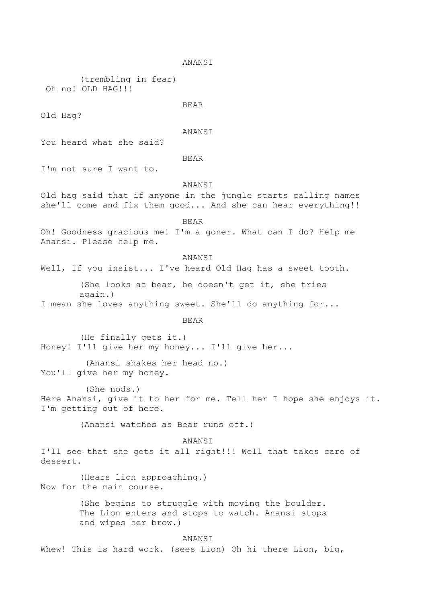```
ANANSI
```
(trembling in fear) Oh no! OLD HAG!!!

#### BEAR

Old Hag?

#### ANANSI

You heard what she said?

#### BEAR

I'm not sure I want to.

#### ANANSI

Old hag said that if anyone in the jungle starts calling names she'll come and fix them good... And she can hear everything!!

#### BEAR

Oh! Goodness gracious me! I'm a goner. What can I do? Help me Anansi. Please help me.

# ANANSI

Well, If you insist... I've heard Old Hag has a sweet tooth.

(She looks at bear, he doesn't get it, she tries again.)

I mean she loves anything sweet. She'll do anything for...

#### BEAR

(He finally gets it.) Honey! I'll give her my honey... I'll give her...

(Anansi shakes her head no.) You'll give her my honey.

(She nods.) Here Anansi, give it to her for me. Tell her I hope she enjoys it. I'm getting out of here.

(Anansi watches as Bear runs off.)

ANANSI I'll see that she gets it all right!!! Well that takes care of dessert.

(Hears lion approaching.) Now for the main course.

> (She begins to struggle with moving the boulder. The Lion enters and stops to watch. Anansi stops and wipes her brow.)

## **ANANST**

Whew! This is hard work. (sees Lion) Oh hi there Lion, big,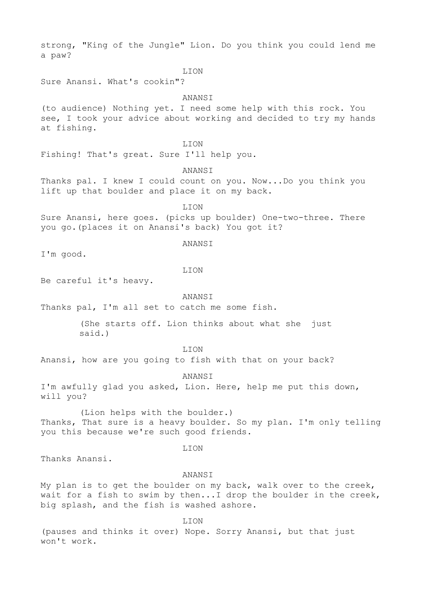strong, "King of the Jungle" Lion. Do you think you could lend me a paw?

LION

Sure Anansi. What's cookin"?

ANANSI

(to audience) Nothing yet. I need some help with this rock. You see, I took your advice about working and decided to try my hands at fishing.

LION

Fishing! That's great. Sure I'll help you.

ANANSI

Thanks pal. I knew I could count on you. Now...Do you think you lift up that boulder and place it on my back.

LION

Sure Anansi, here goes. (picks up boulder) One-two-three. There you go.(places it on Anansi's back) You got it?

#### **ANANST**

I'm good.

LION

Be careful it's heavy.

ANANSI

Thanks pal, I'm all set to catch me some fish.

(She starts off. Lion thinks about what she just said.)

LION

Anansi, how are you going to fish with that on your back?

ANANSI

I'm awfully glad you asked, Lion. Here, help me put this down, will you?

(Lion helps with the boulder.) Thanks, That sure is a heavy boulder. So my plan. I'm only telling you this because we're such good friends.

#### LION

Thanks Anansi.

ANANSI

My plan is to get the boulder on my back, walk over to the creek, wait for a fish to swim by then...I drop the boulder in the creek, big splash, and the fish is washed ashore.

LION

(pauses and thinks it over) Nope. Sorry Anansi, but that just won't work.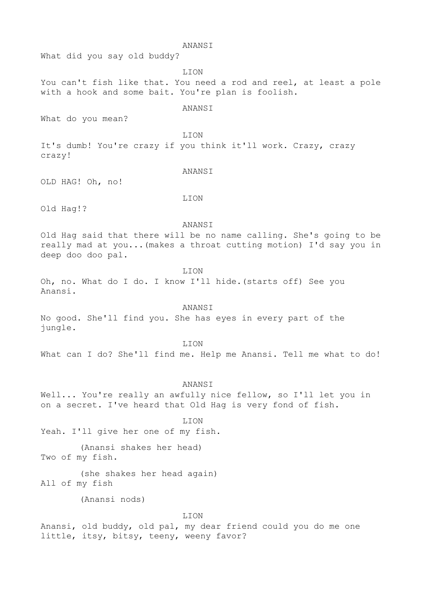#### ANANSI

What did you say old buddy?

LION

# You can't fish like that. You need a rod and reel, at least a pole with a hook and some bait. You're plan is foolish.

ANANSI

What do you mean?

LION

It's dumb! You're crazy if you think it'll work. Crazy, crazy crazy!

#### **ANANST**

OLD HAG! Oh, no!

LION

Old Hag!?

#### ANANSI

Old Hag said that there will be no name calling. She's going to be really mad at you...(makes a throat cutting motion) I'd say you in deep doo doo pal.

#### LION

Oh, no. What do I do. I know I'll hide.(starts off) See you Anansi.

#### ANANSI

No good. She'll find you. She has eyes in every part of the jungle.

#### LION

What can I do? She'll find me. Help me Anansi. Tell me what to do!

#### ANANSI

Well... You're really an awfully nice fellow, so I'll let you in on a secret. I've heard that Old Hag is very fond of fish.

#### LION

Yeah. I'll give her one of my fish.

(Anansi shakes her head) Two of my fish.

(she shakes her head again) All of my fish

(Anansi nods)

#### LION

Anansi, old buddy, old pal, my dear friend could you do me one little, itsy, bitsy, teeny, weeny favor?